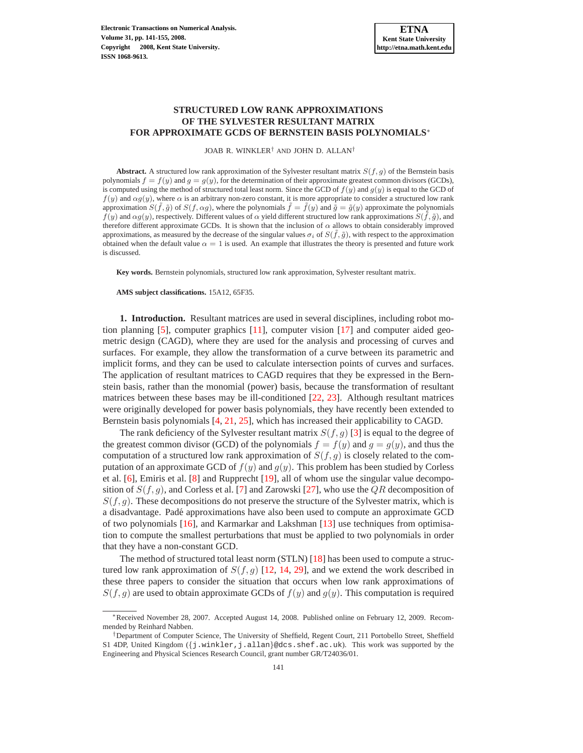# **STRUCTURED LOW RANK APPROXIMATIONS OF THE SYLVESTER RESULTANT MATRIX FOR APPROXIMATE GCDS OF BERNSTEIN BASIS POLYNOMIALS**<sup>∗</sup>

JOAB R. WINKLER† AND JOHN D. ALLAN†

**Abstract.** A structured low rank approximation of the Sylvester resultant matrix  $S(f, g)$  of the Bernstein basis polynomials  $f = f(y)$  and  $g = g(y)$ , for the determination of their approximate greatest common divisors (GCDs), is computed using the method of structured total least norm. Since the GCD of  $f(y)$  and  $g(y)$  is equal to the GCD of  $f(y)$  and  $\alpha g(y)$ , where  $\alpha$  is an arbitrary non-zero constant, it is more appropriate to consider a structured low rank approximation  $S(f, \tilde{g})$  of  $S(f, \alpha g)$ , where the polynomials  $\tilde{f} = \tilde{f}(y)$  and  $\tilde{g} = \tilde{g}(y)$  approximate the polynomials  $f(y)$  and  $\alpha g(y)$ , respectively. Different values of  $\alpha$  yield different structured low rank approximations  $S(\tilde{f}, \tilde{g})$ , and therefore different approximate GCDs. It is shown that the inclusion of  $\alpha$  allows to obtain considerably improved approximations, as measured by the decrease of the singular values  $\sigma_i$  of  $S(\tilde{f}, \tilde{g})$ , with respect to the approximation obtained when the default value  $\alpha = 1$  is used. An example that illustrates the theory is presented and future work is discussed.

**Key words.** Bernstein polynomials, structured low rank approximation, Sylvester resultant matrix.

**AMS subject classifications.** 15A12, 65F35.

<span id="page-0-0"></span>**1. Introduction.** Resultant matrices are used in several disciplines, including robot motion planning  $[5]$ , computer graphics  $[11]$ , computer vision  $[17]$  and computer aided geometric design (CAGD), where they are used for the analysis and processing of curves and surfaces. For example, they allow the transformation of a curve between its parametric and implicit forms, and they can be used to calculate intersection points of curves and surfaces. The application of resultant matrices to CAGD requires that they be expressed in the Bernstein basis, rather than the monomial (power) basis, because the transformation of resultant matrices between these bases may be ill-conditioned [\[22,](#page-14-0) [23\]](#page-14-1). Although resultant matrices were originally developed for power basis polynomials, they have recently been extended to Bernstein basis polynomials [\[4,](#page-13-3) [21,](#page-13-4) [25\]](#page-14-2), which has increased their applicability to CAGD.

The rank deficiency of the Sylvester resultant matrix  $S(f, g)$  [\[3\]](#page-13-5) is equal to the degree of the greatest common divisor (GCD) of the polynomials  $f = f(y)$  and  $g = g(y)$ , and thus the computation of a structured low rank approximation of  $S(f, g)$  is closely related to the computation of an approximate GCD of  $f(y)$  and  $g(y)$ . This problem has been studied by Corless et al. [\[6\]](#page-13-6), Emiris et al. [\[8\]](#page-13-7) and Rupprecht [\[19\]](#page-13-8), all of whom use the singular value decomposition of  $S(f, g)$ , and Corless et al. [\[7\]](#page-13-9) and Zarowski [\[27\]](#page-14-3), who use the  $QR$  decomposition of  $S(f, g)$ . These decompositions do not preserve the structure of the Sylvester matrix, which is a disadvantage. Padé approximations have also been used to compute an approximate GCD of two polynomials [\[16\]](#page-13-10), and Karmarkar and Lakshman [\[13\]](#page-13-11) use techniques from optimisation to compute the smallest perturbations that must be applied to two polynomials in order that they have a non-constant GCD.

The method of structured total least norm (STLN) [\[18\]](#page-13-12) has been used to compute a structured low rank approximation of  $S(f, g)$  [\[12,](#page-13-13) [14,](#page-13-14) [29\]](#page-14-4), and we extend the work described in these three papers to consider the situation that occurs when low rank approximations of  $S(f, g)$  are used to obtain approximate GCDs of  $f(y)$  and  $g(y)$ . This computation is required

<sup>∗</sup>Received November 28, 2007. Accepted August 14, 2008. Published online on February 12, 2009. Recommended by Reinhard Nabben.

<sup>†</sup>Department of Computer Science, The University of Sheffield, Regent Court, 211 Portobello Street, Sheffield S1 4DP, United Kingdom  $(\nvert j.winkler, j.allan)$ @dcs.shef.ac.uk). This work was supported by the Engineering and Physical Sciences Research Council, grant number GR/T24036/01.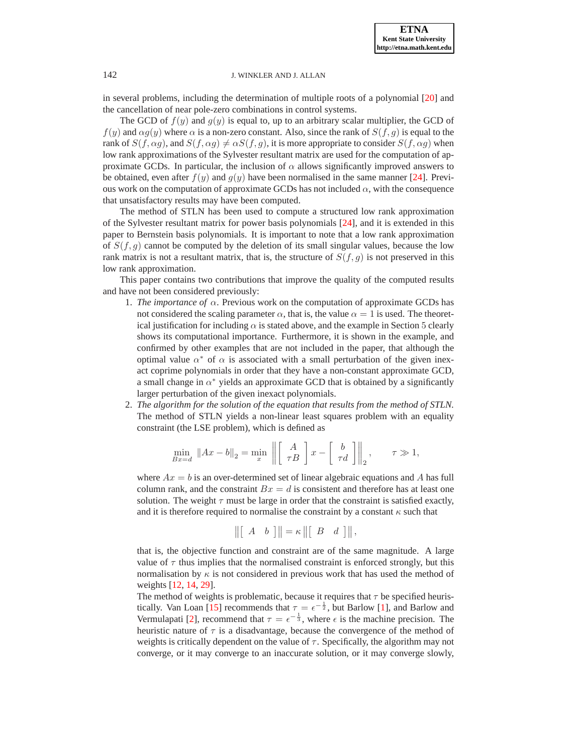in several problems, including the determination of multiple roots of a polynomial [\[20\]](#page-13-15) and the cancellation of near pole-zero combinations in control systems.

The GCD of  $f(y)$  and  $g(y)$  is equal to, up to an arbitrary scalar multiplier, the GCD of  $f(y)$  and  $\alpha g(y)$  where  $\alpha$  is a non-zero constant. Also, since the rank of  $S(f, g)$  is equal to the rank of  $S(f, \alpha g)$ , and  $S(f, \alpha g) \neq \alpha S(f, g)$ , it is more appropriate to consider  $S(f, \alpha g)$  when low rank approximations of the Sylvester resultant matrix are used for the computation of approximate GCDs. In particular, the inclusion of  $\alpha$  allows significantly improved answers to be obtained, even after  $f(y)$  and  $g(y)$  have been normalised in the same manner [\[24\]](#page-14-5). Previous work on the computation of approximate GCDs has not included  $\alpha$ , with the consequence that unsatisfactory results may have been computed.

The method of STLN has been used to compute a structured low rank approximation of the Sylvester resultant matrix for power basis polynomials [\[24\]](#page-14-5), and it is extended in this paper to Bernstein basis polynomials. It is important to note that a low rank approximation of  $S(f, g)$  cannot be computed by the deletion of its small singular values, because the low rank matrix is not a resultant matrix, that is, the structure of  $S(f, g)$  is not preserved in this low rank approximation.

This paper contains two contributions that improve the quality of the computed results and have not been considered previously:

- 1. *The importance of*  $\alpha$ . Previous work on the computation of approximate GCDs has not considered the scaling parameter  $\alpha$ , that is, the value  $\alpha = 1$  is used. The theoretical justification for including  $\alpha$  is stated above, and the example in Section 5 clearly shows its computational importance. Furthermore, it is shown in the example, and confirmed by other examples that are not included in the paper, that although the optimal value  $\alpha^*$  of  $\alpha$  is associated with a small perturbation of the given inexact coprime polynomials in order that they have a non-constant approximate GCD, a small change in  $\alpha^*$  yields an approximate GCD that is obtained by a significantly larger perturbation of the given inexact polynomials.
- 2. *The algorithm for the solution of the equation that results from the method of STLN.* The method of STLN yields a non-linear least squares problem with an equality constraint (the LSE problem), which is defined as

$$
\min_{Bx=d} \|Ax-b\|_2 = \min_x \left\| \begin{bmatrix} A \\ \tau B \end{bmatrix} x - \begin{bmatrix} b \\ \tau d \end{bmatrix} \right\|_2, \qquad \tau \gg 1,
$$

where  $Ax = b$  is an over-determined set of linear algebraic equations and A has full column rank, and the constraint  $Bx = d$  is consistent and therefore has at least one solution. The weight  $\tau$  must be large in order that the constraint is satisfied exactly, and it is therefore required to normalise the constraint by a constant  $\kappa$  such that

$$
\|\begin{bmatrix} A & b \end{bmatrix}\| = \kappa \|\begin{bmatrix} B & d \end{bmatrix}\|,
$$

that is, the objective function and constraint are of the same magnitude. A large value of  $\tau$  thus implies that the normalised constraint is enforced strongly, but this normalisation by  $\kappa$  is not considered in previous work that has used the method of weights [\[12,](#page-13-13) [14,](#page-13-14) [29\]](#page-14-4).

The method of weights is problematic, because it requires that  $\tau$  be specified heuris-tically. Van Loan [\[15\]](#page-13-16) recommends that  $\tau = \epsilon^{-\frac{1}{2}}$ , but Barlow [\[1\]](#page-13-17), and Barlow and Vermulapati [\[2\]](#page-13-18), recommend that  $\tau = \epsilon^{-\frac{1}{3}}$ , where  $\epsilon$  is the machine precision. The heuristic nature of  $\tau$  is a disadvantage, because the convergence of the method of weights is critically dependent on the value of  $\tau$ . Specifically, the algorithm may not converge, or it may converge to an inaccurate solution, or it may converge slowly,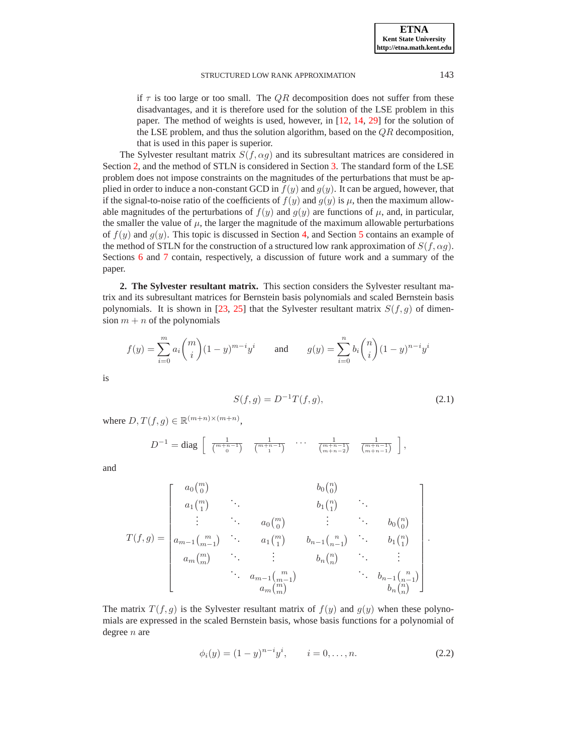if  $\tau$  is too large or too small. The QR decomposition does not suffer from these disadvantages, and it is therefore used for the solution of the LSE problem in this paper. The method of weights is used, however, in [\[12,](#page-13-13) [14,](#page-13-14) [29\]](#page-14-4) for the solution of the LSE problem, and thus the solution algorithm, based on the  $QR$  decomposition, that is used in this paper is superior.

The Sylvester resultant matrix  $S(f, \alpha g)$  and its subresultant matrices are considered in Section [2,](#page-2-0) and the method of STLN is considered in Section [3.](#page-5-0) The standard form of the LSE problem does not impose constraints on the magnitudes of the perturbations that must be applied in order to induce a non-constant GCD in  $f(y)$  and  $g(y)$ . It can be argued, however, that if the signal-to-noise ratio of the coefficients of  $f(y)$  and  $g(y)$  is  $\mu$ , then the maximum allowable magnitudes of the perturbations of  $f(y)$  and  $g(y)$  are functions of  $\mu$ , and, in particular, the smaller the value of  $\mu$ , the larger the magnitude of the maximum allowable perturbations of  $f(y)$  and  $g(y)$ . This topic is discussed in Section [4,](#page-8-0) and Section [5](#page-9-0) contains an example of the method of STLN for the construction of a structured low rank approximation of  $S(f, \alpha q)$ . Sections [6](#page-12-0) and [7](#page-13-19) contain, respectively, a discussion of future work and a summary of the paper.

<span id="page-2-0"></span>**2. The Sylvester resultant matrix.** This section considers the Sylvester resultant matrix and its subresultant matrices for Bernstein basis polynomials and scaled Bernstein basis polynomials. It is shown in [\[23,](#page-14-1) [25\]](#page-14-2) that the Sylvester resultant matrix  $S(f, g)$  of dimension  $m + n$  of the polynomials

$$
f(y) = \sum_{i=0}^{m} a_i \binom{m}{i} (1-y)^{m-i} y^i \quad \text{and} \quad g(y) = \sum_{i=0}^{n} b_i \binom{n}{i} (1-y)^{n-i} y^i
$$

is

$$
S(f,g) = D^{-1}T(f,g),
$$
\n(2.1)

where  $D, T(f, g) \in \mathbb{R}^{(m+n)\times(m+n)}$ ,

<span id="page-2-1"></span>
$$
D^{-1} = \text{diag} \begin{bmatrix} \frac{1}{\binom{m+n-1}{0}} & \frac{1}{\binom{m+n-1}{1}} & \cdots & \frac{1}{\binom{m+n-1}{m+n-2}} & \frac{1}{\binom{m+n-1}{m+n-1}} \end{bmatrix},
$$

and

$$
T(f,g) = \begin{bmatrix} a_0 \binom{m}{0} & & b_0 \binom{n}{0} \\ a_1 \binom{m}{1} & \ddots & & b_1 \binom{n}{1} & \ddots \\ \vdots & \ddots & & a_0 \binom{m}{0} & \vdots & \ddots & & b_0 \binom{n}{0} \\ a_{m-1} \binom{m}{m-1} & \ddots & & & a_1 \binom{m}{1} & b_{n-1} \binom{n}{n-1} & \ddots & & b_1 \binom{n}{1} \\ a_m \binom{m}{m} & \ddots & \vdots & & b_n \binom{n}{n} & \ddots & \vdots \\ \vdots & & a_{m-1} \binom{m}{m-1} & & \ddots & b_{n-1} \binom{n}{n-1} \\ a_m \binom{m}{m} & & & b_n \binom{n}{n} & & b_n \binom{n}{n} \end{bmatrix}.
$$

<span id="page-2-2"></span>The matrix  $T(f, g)$  is the Sylvester resultant matrix of  $f(y)$  and  $g(y)$  when these polynomials are expressed in the scaled Bernstein basis, whose basis functions for a polynomial of degree  $n$  are

$$
\phi_i(y) = (1 - y)^{n - i} y^i, \qquad i = 0, \dots, n. \tag{2.2}
$$

**ETNA Kent State University http://etna.math.kent.edu**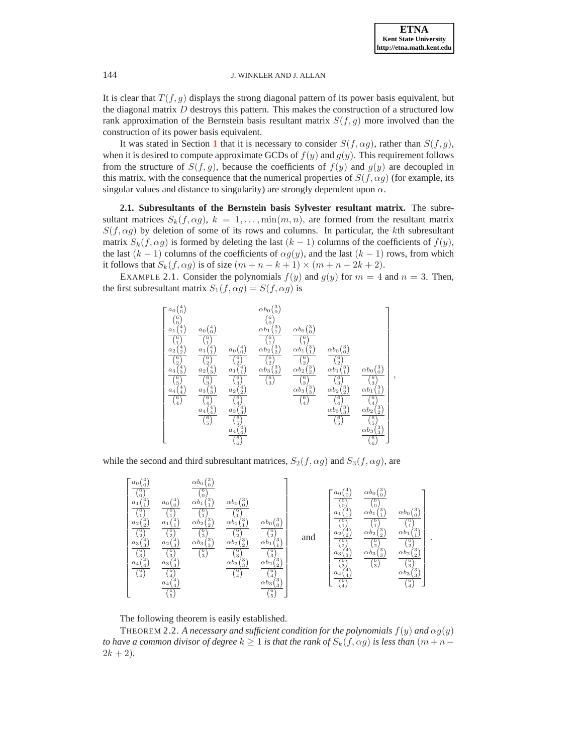It is clear that  $T(f, g)$  displays the strong diagonal pattern of its power basis equivalent, but the diagonal matrix  $D$  destroys this pattern. This makes the construction of a structured low rank approximation of the Bernstein basis resultant matrix  $S(f, g)$  more involved than the construction of its power basis equivalent.

It was stated in Section [1](#page-0-0) that it is necessary to consider  $S(f, \alpha g)$ , rather than  $S(f, g)$ , when it is desired to compute approximate GCDs of  $f(y)$  and  $g(y)$ . This requirement follows from the structure of  $S(f, g)$ , because the coefficients of  $f(y)$  and  $g(y)$  are decoupled in this matrix, with the consequence that the numerical properties of  $S(f, \alpha g)$  (for example, its singular values and distance to singularity) are strongly dependent upon  $\alpha$ .

**2.1. Subresultants of the Bernstein basis Sylvester resultant matrix.** The subresultant matrices  $S_k(f, \alpha g)$ ,  $k = 1, \dots, \min(m, n)$ , are formed from the resultant matrix  $S(f, \alpha g)$  by deletion of some of its rows and columns. In particular, the kth subresultant matrix  $S_k(f, \alpha g)$  is formed by deleting the last  $(k - 1)$  columns of the coefficients of  $f(y)$ , the last  $(k - 1)$  columns of the coefficients of  $\alpha g(y)$ , and the last  $(k - 1)$  rows, from which it follows that  $S_k(f, \alpha g)$  is of size  $(m + n - k + 1) \times (m + n - 2k + 2)$ .

EXAMPLE 2.1. Consider the polynomials  $f(y)$  and  $g(y)$  for  $m = 4$  and  $n = 3$ . Then, the first subresultant matrix  $S_1(f, \alpha g) = S(f, \alpha g)$  is



while the second and third subresultant matrices,  $S_2(f, \alpha g)$  and  $S_3(f, \alpha g)$ , are



<span id="page-3-0"></span>The following theorem is easily established.

THEOREM 2.2. A necessary and sufficient condition for the polynomials  $f(y)$  and  $\alpha g(y)$ *to have a common divisor of degree*  $k \geq 1$  *is that the rank of*  $S_k(f, \alpha g)$  *is less than*  $(m + n - 1)$  $2k + 2$ ).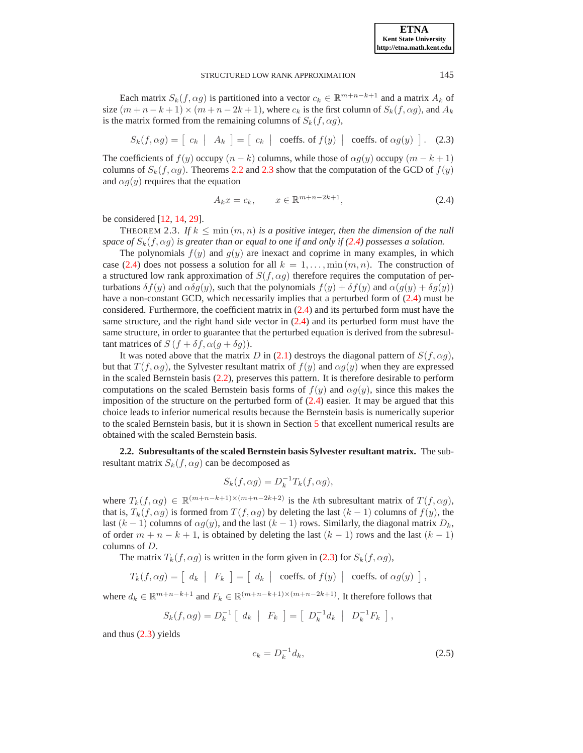Each matrix  $S_k(f, \alpha g)$  is partitioned into a vector  $c_k \in \mathbb{R}^{m+n-k+1}$  and a matrix  $A_k$  of size  $(m+n-k+1) \times (m+n-2k+1)$ , where  $c_k$  is the first column of  $S_k(f, \alpha g)$ , and  $A_k$ is the matrix formed from the remaining columns of  $S_k(f, \alpha g)$ ,

$$
S_k(f, \alpha g) = \left[ c_k \mid A_k \right] = \left[ c_k \mid \text{coeffs. of } f(y) \mid \text{coeffs. of } \alpha g(y) \right]. \tag{2.3}
$$

<span id="page-4-2"></span>The coefficients of  $f(y)$  occupy  $(n - k)$  columns, while those of  $\alpha g(y)$  occupy  $(m - k + 1)$ columns of  $S_k(f, \alpha g)$ . Theorems [2.2](#page-3-0) and [2.3](#page-4-0) show that the computation of the GCD of  $f(y)$ and  $\alpha g(y)$  requires that the equation

$$
A_k x = c_k, \qquad x \in \mathbb{R}^{m+n-2k+1}, \tag{2.4}
$$

<span id="page-4-1"></span><span id="page-4-0"></span>be considered [\[12,](#page-13-13) [14,](#page-13-14) [29\]](#page-14-4).

THEOREM 2.3. If  $k \leq \min(m, n)$  is a positive integer, then the dimension of the null *space of*  $S_k(f, \alpha g)$  *is greater than or equal to one if and only if* [\(2.4\)](#page-4-1) *possesses a solution.* 

The polynomials  $f(y)$  and  $g(y)$  are inexact and coprime in many examples, in which case [\(2.4\)](#page-4-1) does not possess a solution for all  $k = 1, \ldots, \min(m, n)$ . The construction of a structured low rank approximation of  $S(f, \alpha g)$  therefore requires the computation of perturbations  $\delta f(y)$  and  $\alpha \delta g(y)$ , such that the polynomials  $f(y) + \delta f(y)$  and  $\alpha (g(y) + \delta g(y))$ have a non-constant GCD, which necessarily implies that a perturbed form of [\(2.4\)](#page-4-1) must be considered. Furthermore, the coefficient matrix in [\(2.4\)](#page-4-1) and its perturbed form must have the same structure, and the right hand side vector in [\(2.4\)](#page-4-1) and its perturbed form must have the same structure, in order to guarantee that the perturbed equation is derived from the subresultant matrices of  $S(f + \delta f, \alpha(g + \delta g))$ .

It was noted above that the matrix D in [\(2.1\)](#page-2-1) destroys the diagonal pattern of  $S(f, \alpha g)$ , but that  $T(f, \alpha g)$ , the Sylvester resultant matrix of  $f(y)$  and  $\alpha g(y)$  when they are expressed in the scaled Bernstein basis [\(2.2\)](#page-2-2), preserves this pattern. It is therefore desirable to perform computations on the scaled Bernstein basis forms of  $f(y)$  and  $\alpha g(y)$ , since this makes the imposition of the structure on the perturbed form of  $(2.4)$  easier. It may be argued that this choice leads to inferior numerical results because the Bernstein basis is numerically superior to the scaled Bernstein basis, but it is shown in Section [5](#page-9-0) that excellent numerical results are obtained with the scaled Bernstein basis.

**2.2. Subresultants of the scaled Bernstein basis Sylvester resultant matrix.** The subresultant matrix  $S_k(f, \alpha g)$  can be decomposed as

$$
S_k(f, \alpha g) = D_k^{-1} T_k(f, \alpha g),
$$

where  $T_k(f, \alpha g) \in \mathbb{R}^{(m+n-k+1)\times(m+n-2k+2)}$  is the kth subresultant matrix of  $T(f, \alpha g)$ , that is,  $T_k(f, \alpha g)$  is formed from  $T(f, \alpha g)$  by deleting the last  $(k - 1)$  columns of  $f(y)$ , the last  $(k-1)$  columns of  $\alpha g(y)$ , and the last  $(k-1)$  rows. Similarly, the diagonal matrix  $D_k$ , of order  $m + n - k + 1$ , is obtained by deleting the last  $(k - 1)$  rows and the last  $(k - 1)$ columns of D.

The matrix  $T_k(f, \alpha g)$  is written in the form given in [\(2.3\)](#page-4-2) for  $S_k(f, \alpha g)$ ,

 $T_k(f,\alpha g) = \left[ \begin{array}{c|c} d_k & F_k \end{array} \right] = \left[ \begin{array}{c|c} d_k & \text{coeffs. of } f(y) & \text{coeffs. of } \alpha g(y) \end{array} \right],$ 

where  $d_k \in \mathbb{R}^{m+n-k+1}$  and  $F_k \in \mathbb{R}^{(m+n-k+1)\times(m+n-2k+1)}$ . It therefore follows that

<span id="page-4-3"></span>
$$
S_k(f, \alpha g) = D_k^{-1} [d_k | F_k] = [D_k^{-1} d_k | D_k^{-1} F_k],
$$

and thus [\(2.3\)](#page-4-2) yields

$$
c_k = D_k^{-1} d_k,
$$
\n(2.5)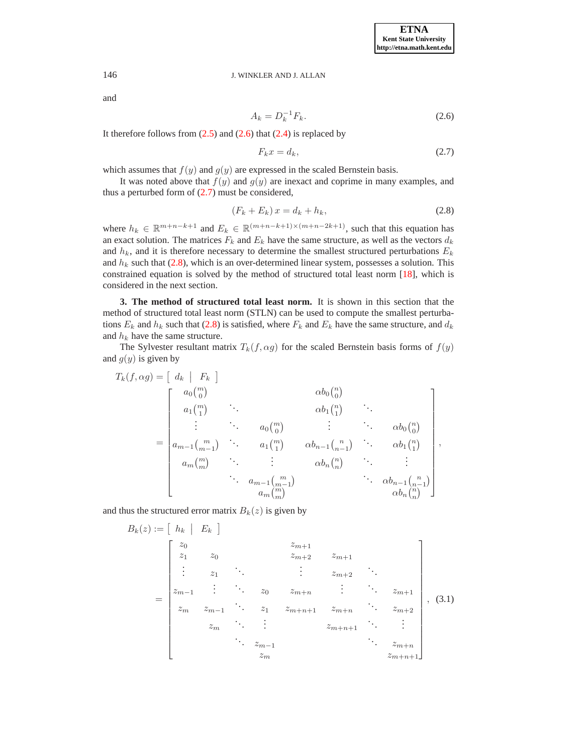and

<span id="page-5-1"></span>
$$
A_k = D_k^{-1} F_k.
$$
 (2.6)

It therefore follows from  $(2.5)$  and  $(2.6)$  that  $(2.4)$  is replaced by

<span id="page-5-2"></span>
$$
F_k x = d_k, \t\t(2.7)
$$

which assumes that  $f(y)$  and  $g(y)$  are expressed in the scaled Bernstein basis.

It was noted above that  $f(y)$  and  $g(y)$  are inexact and coprime in many examples, and thus a perturbed form of  $(2.7)$  must be considered,

$$
(F_k + E_k)x = d_k + h_k,\tag{2.8}
$$

<span id="page-5-3"></span>where  $h_k \in \mathbb{R}^{m+n-k+1}$  and  $E_k \in \mathbb{R}^{(m+n-k+1)\times(m+n-2k+1)}$ , such that this equation has an exact solution. The matrices  $F_k$  and  $E_k$  have the same structure, as well as the vectors  $d_k$ and  $h_k$ , and it is therefore necessary to determine the smallest structured perturbations  $E_k$ and  $h_k$  such that [\(2.8\)](#page-5-3), which is an over-determined linear system, possesses a solution. This constrained equation is solved by the method of structured total least norm [\[18\]](#page-13-12), which is considered in the next section.

<span id="page-5-0"></span>**3. The method of structured total least norm.** It is shown in this section that the method of structured total least norm (STLN) can be used to compute the smallest perturbations  $E_k$  and  $h_k$  such that [\(2.8\)](#page-5-3) is satisfied, where  $F_k$  and  $E_k$  have the same structure, and  $d_k$ and  $h_k$  have the same structure.

The Sylvester resultant matrix  $T_k(f, \alpha g)$  for the scaled Bernstein basis forms of  $f(y)$ and  $q(y)$  is given by

$$
T_{k}(f, \alpha g) = \begin{bmatrix} d_{k} & F_{k} \end{bmatrix}
$$
  
\n
$$
= \begin{bmatrix} a_{0} {m \choose 0} & \alpha b_{0} {n \choose 0} \\ a_{1} {m \choose 1} & \ddots & \alpha b_{1} {n \choose 1} \\ \vdots & \ddots & a_{0} {m \choose 0} & \vdots & \ddots & \alpha b_{0} {n \choose 0} \\ a_{m-1} {m \choose m-1} & \ddots & a_{1} {m \choose 1} & \alpha b_{n-1} {n \choose n-1} & \ddots & \alpha b_{1} {n \choose 1} \\ a_{m} {m \choose m} & \ddots & \vdots & \alpha b_{n} {n \choose n} & \ddots & \vdots \\ \vdots & \ddots & a_{m-1} {m \choose m} & \alpha b_{n} {n \choose n} & \alpha b_{n-1} {n \choose n-1} \\ a_{m} {m \choose m} & \alpha b_{n} {n \choose n} & \alpha b_{n} {n \choose n} \end{bmatrix},
$$

<span id="page-5-4"></span>and thus the structured error matrix  $B_k(z)$  is given by

$$
B_{k}(z) := \begin{bmatrix} h_{k} & F_{k} \end{bmatrix}
$$
\n
$$
= \begin{bmatrix} z_{0} & z_{m+1} & z_{m+1} \\ z_{1} & z_{0} & z_{m+2} & z_{m+1} \\ \vdots & \vdots & \ddots & \vdots & z_{m+2} \\ z_{m-1} & \vdots & \ddots & z_{0} & z_{m+n} & \vdots & \ddots & z_{m+1} \\ z_{m} & z_{m-1} & \ddots & z_{1} & z_{m+n+1} & z_{m+n} & \ddots & z_{m+2} \\ \vdots & \vdots & \vdots & \vdots & \ddots & \vdots & \vdots \\ z_{m-1} & \ddots & \vdots & \ddots & \vdots & \vdots \\ z_{m-1} & \ddots & \ddots & \vdots & \ddots & z_{m+n+1} \\ z_{m} & z_{m+n+1} & z_{m+n+1} & z_{m+n+1} & z_{m+n+1} \end{bmatrix}, \quad (3.1)
$$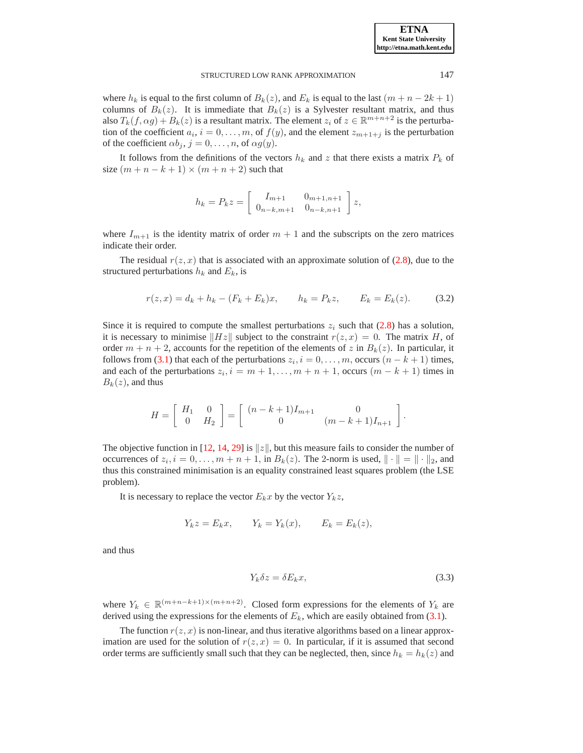**ETNA Kent State University http://etna.math.kent.edu**

#### STRUCTURED LOW RANK APPROXIMATION 147

where  $h_k$  is equal to the first column of  $B_k(z)$ , and  $E_k$  is equal to the last  $(m + n - 2k + 1)$ columns of  $B_k(z)$ . It is immediate that  $B_k(z)$  is a Sylvester resultant matrix, and thus also  $T_k(f, \alpha g) + B_k(z)$  is a resultant matrix. The element  $z_i$  of  $z \in \mathbb{R}^{m+n+2}$  is the perturbation of the coefficient  $a_i$ ,  $i = 0, \ldots, m$ , of  $f(y)$ , and the element  $z_{m+1+j}$  is the perturbation of the coefficient  $\alpha b_j$ ,  $j = 0, \ldots, n$ , of  $\alpha g(y)$ .

It follows from the definitions of the vectors  $h_k$  and z that there exists a matrix  $P_k$  of size  $(m + n - k + 1) \times (m + n + 2)$  such that

$$
h_k = P_k z = \begin{bmatrix} I_{m+1} & 0_{m+1,n+1} \\ 0_{n-k,m+1} & 0_{n-k,n+1} \end{bmatrix} z,
$$

where  $I_{m+1}$  is the identity matrix of order  $m + 1$  and the subscripts on the zero matrices indicate their order.

The residual  $r(z, x)$  that is associated with an approximate solution of [\(2.8\)](#page-5-3), due to the structured perturbations  $h_k$  and  $E_k$ , is

$$
r(z, x) = d_k + h_k - (F_k + E_k)x, \qquad h_k = P_k z, \qquad E_k = E_k(z). \tag{3.2}
$$

<span id="page-6-1"></span>Since it is required to compute the smallest perturbations  $z_i$  such that [\(2.8\)](#page-5-3) has a solution, it is necessary to minimise  $||Hz||$  subject to the constraint  $r(z, x) = 0$ . The matrix H, of order  $m + n + 2$ , accounts for the repetition of the elements of z in  $B_k(z)$ . In particular, it follows from [\(3.1\)](#page-5-4) that each of the perturbations  $z_i$ ,  $i = 0, \ldots, m$ , occurs  $(n - k + 1)$  times, and each of the perturbations  $z_i$ ,  $i = m + 1, \ldots, m + n + 1$ , occurs  $(m - k + 1)$  times in  $B_k(z)$ , and thus

$$
H = \left[ \begin{array}{cc} H_1 & 0 \\ 0 & H_2 \end{array} \right] = \left[ \begin{array}{cc} (n-k+1)I_{m+1} & 0 \\ 0 & (m-k+1)I_{n+1} \end{array} \right].
$$

The objective function in [\[12,](#page-13-13) [14,](#page-13-14) [29\]](#page-14-4) is  $||z||$ , but this measure fails to consider the number of occurrences of  $z_i$ ,  $i = 0, \ldots, m + n + 1$ , in  $B_k(z)$ . The 2-norm is used,  $\|\cdot\| = \|\cdot\|_2$ , and thus this constrained minimisation is an equality constrained least squares problem (the LSE problem).

It is necessary to replace the vector  $E_k x$  by the vector  $Y_k z$ ,

<span id="page-6-0"></span>
$$
Y_k z = E_k x, \qquad Y_k = Y_k(x), \qquad E_k = E_k(z),
$$

and thus

$$
Y_k \delta z = \delta E_k x,\tag{3.3}
$$

where  $Y_k \in \mathbb{R}^{(m+n-k+1)\times(m+n+2)}$ . Closed form expressions for the elements of  $Y_k$  are derived using the expressions for the elements of  $E_k$ , which are easily obtained from [\(3.1\)](#page-5-4).

The function  $r(z, x)$  is non-linear, and thus iterative algorithms based on a linear approximation are used for the solution of  $r(z, x) = 0$ . In particular, if it is assumed that second order terms are sufficiently small such that they can be neglected, then, since  $h_k = h_k(z)$  and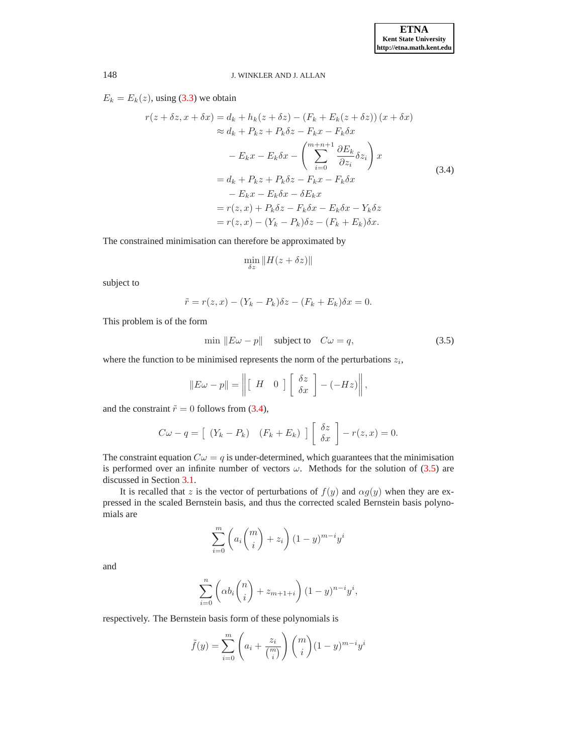<span id="page-7-0"></span> $E_k = E_k(z)$ , using [\(3.3\)](#page-6-0) we obtain

$$
r(z + \delta z, x + \delta x) = d_k + h_k(z + \delta z) - (F_k + E_k(z + \delta z)) (x + \delta x)
$$
  
\n
$$
\approx d_k + P_k z + P_k \delta z - F_k x - F_k \delta x
$$
  
\n
$$
- E_k x - E_k \delta x - \left(\sum_{i=0}^{m+n+1} \frac{\partial E_k}{\partial z_i} \delta z_i\right) x
$$
  
\n
$$
= d_k + P_k z + P_k \delta z - F_k x - F_k \delta x
$$
  
\n
$$
- E_k x - E_k \delta x - \delta E_k x
$$
  
\n
$$
= r(z, x) + P_k \delta z - F_k \delta x - E_k \delta x - Y_k \delta z
$$
  
\n
$$
= r(z, x) - (Y_k - P_k) \delta z - (F_k + E_k) \delta x.
$$
  
\n(3.4)

The constrained minimisation can therefore be approximated by

$$
\min_{\delta z} \|H(z + \delta z)\|
$$

subject to

$$
\tilde{r} = r(z, x) - (Y_k - P_k)\delta z - (F_k + E_k)\delta x = 0.
$$

<span id="page-7-1"></span>This problem is of the form

$$
\min \|E\omega - p\| \quad \text{subject to} \quad C\omega = q,\tag{3.5}
$$

where the function to be minimised represents the norm of the perturbations  $z_i$ ,

$$
||E\omega - p|| = \left\| \begin{bmatrix} H & 0 \end{bmatrix} \begin{bmatrix} \delta z \\ \delta x \end{bmatrix} - (-Hz) \right\|,
$$

and the constraint  $\tilde{r} = 0$  follows from [\(3.4\)](#page-7-0),

$$
C\omega - q = \left[ (Y_k - P_k) \left( F_k + E_k \right) \right] \left[ \begin{array}{c} \delta z \\ \delta x \end{array} \right] - r(z, x) = 0.
$$

The constraint equation  $C\omega = q$  is under-determined, which guarantees that the minimisation is performed over an infinite number of vectors  $\omega$ . Methods for the solution of [\(3.5\)](#page-7-1) are discussed in Section [3.1.](#page-8-1)

It is recalled that z is the vector of perturbations of  $f(y)$  and  $\alpha g(y)$  when they are expressed in the scaled Bernstein basis, and thus the corrected scaled Bernstein basis polynomials are

$$
\sum_{i=0}^{m} \left( a_i \binom{m}{i} + z_i \right) (1-y)^{m-i} y^i
$$

and

$$
\sum_{i=0}^{n} \left( \alpha b_i \binom{n}{i} + z_{m+1+i} \right) (1-y)^{n-i} y^i,
$$

respectively. The Bernstein basis form of these polynomials is

$$
\tilde{f}(y) = \sum_{i=0}^{m} \left( a_i + \frac{z_i}{\binom{m}{i}} \right) \binom{m}{i} (1-y)^{m-i} y^i
$$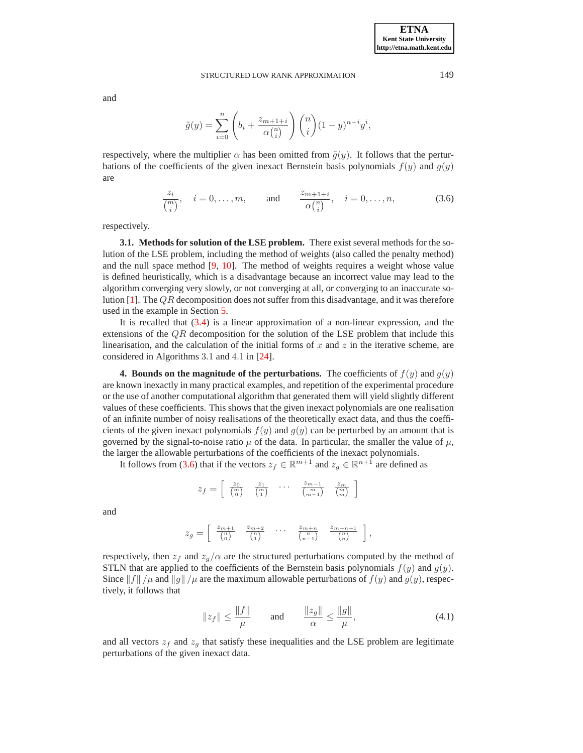and

$$
\tilde{g}(y) = \sum_{i=0}^{n} \left( b_i + \frac{z_{m+1+i}}{\alpha {n \choose i}} \right) {n \choose i} (1-y)^{n-i} y^i,
$$

respectively, where the multiplier  $\alpha$  has been omitted from  $\tilde{g}(y)$ . It follows that the perturbations of the coefficients of the given inexact Bernstein basis polynomials  $f(y)$  and  $g(y)$ are

$$
\frac{z_i}{\binom{m}{i}}, \quad i = 0, \dots, m, \qquad \text{and} \qquad \frac{z_{m+1+i}}{\alpha \binom{n}{i}}, \quad i = 0, \dots, n,
$$
 (3.6)

<span id="page-8-2"></span><span id="page-8-1"></span>respectively.

**3.1. Methods for solution of the LSE problem.** There exist several methods for the solution of the LSE problem, including the method of weights (also called the penalty method) and the null space method [\[9,](#page-13-20) [10\]](#page-13-21). The method of weights requires a weight whose value is defined heuristically, which is a disadvantage because an incorrect value may lead to the algorithm converging very slowly, or not converging at all, or converging to an inaccurate solution  $[1]$ . The QR decomposition does not suffer from this disadvantage, and it was therefore used in the example in Section [5.](#page-9-0)

It is recalled that [\(3.4\)](#page-7-0) is a linear approximation of a non-linear expression, and the extensions of the  $QR$  decomposition for the solution of the LSE problem that include this linearisation, and the calculation of the initial forms of x and  $z$  in the iterative scheme, are considered in Algorithms 3.1 and 4.1 in [\[24\]](#page-14-5).

<span id="page-8-0"></span>**4. Bounds on the magnitude of the perturbations.** The coefficients of  $f(y)$  and  $g(y)$ are known inexactly in many practical examples, and repetition of the experimental procedure or the use of another computational algorithm that generated them will yield slightly different values of these coefficients. This shows that the given inexact polynomials are one realisation of an infinite number of noisy realisations of the theoretically exact data, and thus the coefficients of the given inexact polynomials  $f(y)$  and  $g(y)$  can be perturbed by an amount that is governed by the signal-to-noise ratio  $\mu$  of the data. In particular, the smaller the value of  $\mu$ , the larger the allowable perturbations of the coefficients of the inexact polynomials.

It follows from [\(3.6\)](#page-8-2) that if the vectors  $z_f \in \mathbb{R}^{m+1}$  and  $z_g \in \mathbb{R}^{n+1}$  are defined as

$$
z_f = \begin{bmatrix} z_0 & z_1 \\ \begin{pmatrix} m \\ 0 \end{pmatrix} & \begin{pmatrix} z_1 \\ m \end{pmatrix} & \cdots & \begin{pmatrix} z_{m-1} \\ \begin{pmatrix} m \\ m-1 \end{pmatrix} & \begin{pmatrix} z_m \\ m \end{pmatrix} \end{bmatrix}
$$

and

$$
z_g = \begin{bmatrix} z_{m+1} & z_{m+2} & \dots & z_{m+n} & z_{m+n+1} \\ \begin{pmatrix} n \\ 0 \end{pmatrix} & \begin{pmatrix} n \\ 1 \end{pmatrix} & \dots & \begin{pmatrix} z_{m+n+1} \\ \begin{pmatrix} n \\ n \end{pmatrix} & \begin{pmatrix} n \\ n \end{pmatrix} \end{bmatrix},
$$

respectively, then  $z_f$  and  $z_g/\alpha$  are the structured perturbations computed by the method of STLN that are applied to the coefficients of the Bernstein basis polynomials  $f(y)$  and  $g(y)$ . Since  $||f|| / \mu$  and  $||g|| / \mu$  are the maximum allowable perturbations of  $f(y)$  and  $g(y)$ , respectively, it follows that

$$
||z_f|| \le \frac{||f||}{\mu} \quad \text{and} \quad \frac{||z_g||}{\alpha} \le \frac{||g||}{\mu}, \tag{4.1}
$$

<span id="page-8-3"></span>and all vectors  $z_f$  and  $z_g$  that satisfy these inequalities and the LSE problem are legitimate perturbations of the given inexact data.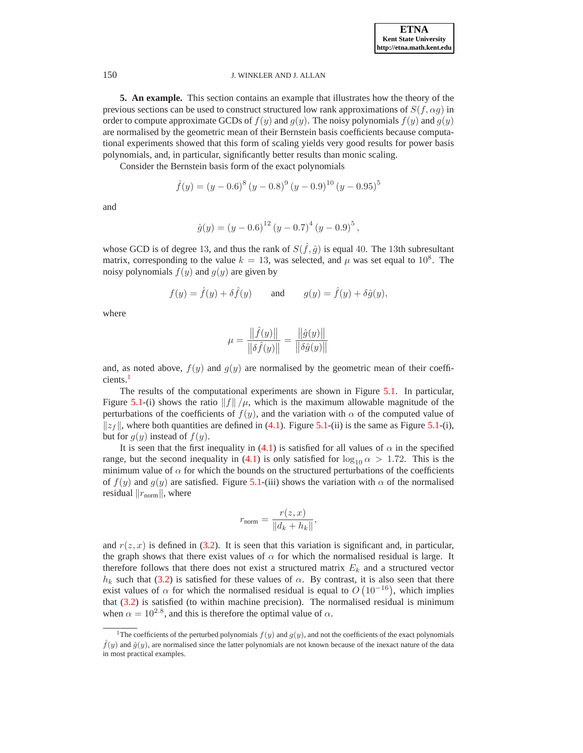**ETNA Kent State University http://etna.math.kent.edu**

#### 150 J. WINKLER AND J. ALLAN

<span id="page-9-0"></span>**5. An example.** This section contains an example that illustrates how the theory of the previous sections can be used to construct structured low rank approximations of  $S(f, \alpha g)$  in order to compute approximate GCDs of  $f(y)$  and  $g(y)$ . The noisy polynomials  $f(y)$  and  $g(y)$ are normalised by the geometric mean of their Bernstein basis coefficients because computational experiments showed that this form of scaling yields very good results for power basis polynomials, and, in particular, significantly better results than monic scaling.

Consider the Bernstein basis form of the exact polynomials

$$
\hat{f}(y) = (y - 0.6)^{8} (y - 0.8)^{9} (y - 0.9)^{10} (y - 0.95)^{5}
$$

and

$$
\hat{g}(y) = (y - 0.6)^{12} (y - 0.7)^{4} (y - 0.9)^{5},
$$

whose GCD is of degree 13, and thus the rank of  $S(\hat{f}, \hat{g})$  is equal 40. The 13th subresultant matrix, corresponding to the value  $k = 13$ , was selected, and  $\mu$  was set equal to  $10^8$ . The noisy polynomials  $f(y)$  and  $g(y)$  are given by

$$
f(y) = \hat{f}(y) + \delta \hat{f}(y)
$$
 and  $g(y) = \hat{f}(y) + \delta \hat{g}(y)$ ,

where

$$
\mu = \frac{\|\hat{f}(y)\|}{\|\delta \hat{f}(y)\|} = \frac{\|\hat{g}(y)\|}{\|\delta \hat{g}(y)\|}
$$

and, as noted above,  $f(y)$  and  $g(y)$  are normalised by the geometric mean of their coefficients.

The results of the computational experiments are shown in Figure [5.1.](#page-10-0) In particular, Figure [5.1-](#page-10-0)(i) shows the ratio  $||f||/\mu$ , which is the maximum allowable magnitude of the perturbations of the coefficients of  $f(y)$ , and the variation with  $\alpha$  of the computed value of  $\|z_f\|$ , where both quantities are defined in [\(4.1\)](#page-8-3). Figure [5.1-](#page-10-0)(ii) is the same as Figure 5.1-(i), but for  $g(y)$  instead of  $f(y)$ .

It is seen that the first inequality in [\(4.1\)](#page-8-3) is satisfied for all values of  $\alpha$  in the specified range, but the second inequality in [\(4.1\)](#page-8-3) is only satisfied for  $\log_{10} \alpha > 1.72$ . This is the minimum value of  $\alpha$  for which the bounds on the structured perturbations of the coefficients of  $f(y)$  and  $g(y)$  are satisfied. Figure [5.1-](#page-10-0)(iii) shows the variation with  $\alpha$  of the normalised residual  $||r_{\text{norm}}||$ , where

$$
r_{\text{norm}} = \frac{r(z, x)}{\|d_k + h_k\|},
$$

and  $r(z, x)$  is defined in [\(3.2\)](#page-6-1). It is seen that this variation is significant and, in particular, the graph shows that there exist values of  $\alpha$  for which the normalised residual is large. It therefore follows that there does not exist a structured matrix  $E<sub>k</sub>$  and a structured vector  $h_k$  such that [\(3.2\)](#page-6-1) is satisfied for these values of  $\alpha$ . By contrast, it is also seen that there exist values of  $\alpha$  for which the normalised residual is equal to  $O(10^{-16})$ , which implies that [\(3.2\)](#page-6-1) is satisfied (to within machine precision). The normalised residual is minimum when  $\alpha = 10^{2.8}$ , and this is therefore the optimal value of  $\alpha$ .

<span id="page-9-1"></span><sup>&</sup>lt;sup>1</sup>The coefficients of the perturbed polynomials  $f(y)$  and  $g(y)$ , and not the coefficients of the exact polynomials  $f(y)$  and  $\hat{g}(y)$ , are normalised since the latter polynomials are not known because of the inexact nature of the data in most practical examples.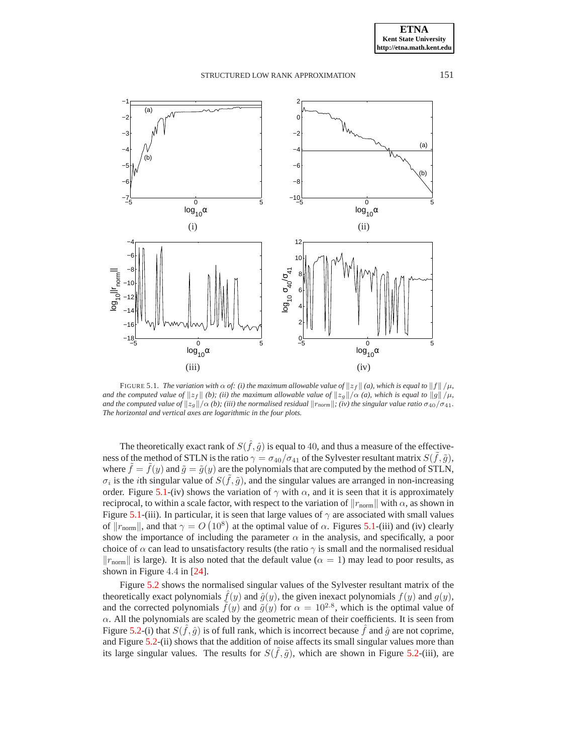

<span id="page-10-0"></span>FIGURE 5.1. *The variation with*  $\alpha$  *of:* (i) the maximum allowable value of  $||z_f||$  (a), which is equal to  $||f||/\mu$ , *and the computed value of*  $||z_f||$  *(b); (ii) the maximum allowable value of*  $||z_g||/\alpha$  *(a), which is equal to*  $||g||/\mu$ , *and the computed value of*  $||z_g||/\alpha$  *(b); (iii) the normalised residual*  $||r_{norm}||$ *; (iv) the singular value ratio*  $\sigma_{40}/\sigma_{41}$ *. The horizontal and vertical axes are logarithmic in the four plots.*

The theoretically exact rank of  $S(\hat{f}, \hat{g})$  is equal to 40, and thus a measure of the effectiveness of the method of STLN is the ratio  $\gamma = \sigma_{40}/\sigma_{41}$  of the Sylvester resultant matrix  $S(\tilde{f}, \tilde{g})$ , where  $\tilde{f} = \tilde{f}(y)$  and  $\tilde{g} = \tilde{g}(y)$  are the polynomials that are computed by the method of STLN,  $\sigma_i$  is the *i*th singular value of  $S(\tilde{f}, \tilde{g})$ , and the singular values are arranged in non-increasing order. Figure [5.1-](#page-10-0)(iv) shows the variation of  $\gamma$  with  $\alpha$ , and it is seen that it is approximately reciprocal, to within a scale factor, with respect to the variation of  $\|r_{\text{norm}}\|$  with  $\alpha$ , as shown in Figure [5.1-](#page-10-0)(iii). In particular, it is seen that large values of  $\gamma$  are associated with small values of  $||r_{\text{norm}}||$ , and that  $\gamma = O(10^8)$  at the optimal value of  $\alpha$ . Figures [5.1-](#page-10-0)(iii) and (iv) clearly show the importance of including the parameter  $\alpha$  in the analysis, and specifically, a poor choice of  $\alpha$  can lead to unsatisfactory results (the ratio  $\gamma$  is small and the normalised residual  $\|r_{\text{norm}}\|$  is large). It is also noted that the default value ( $\alpha = 1$ ) may lead to poor results, as shown in Figure 4.4 in [\[24\]](#page-14-5).

Figure [5.2](#page-11-0) shows the normalised singular values of the Sylvester resultant matrix of the theoretically exact polynomials  $\hat{f}(y)$  and  $\hat{g}(y)$ , the given inexact polynomials  $f(y)$  and  $g(y)$ , and the corrected polynomials  $\tilde{f}(y)$  and  $\tilde{g}(y)$  for  $\alpha = 10^{2.8}$ , which is the optimal value of  $\alpha$ . All the polynomials are scaled by the geometric mean of their coefficients. It is seen from Figure [5.2-](#page-11-0)(i) that  $S(\hat{f}, \hat{g})$  is of full rank, which is incorrect because  $\hat{f}$  and  $\hat{g}$  are not coprime, and Figure [5.2-](#page-11-0)(ii) shows that the addition of noise affects its small singular values more than its large singular values. The results for  $S(\tilde{f}, \tilde{g})$ , which are shown in Figure [5.2-](#page-11-0)(iii), are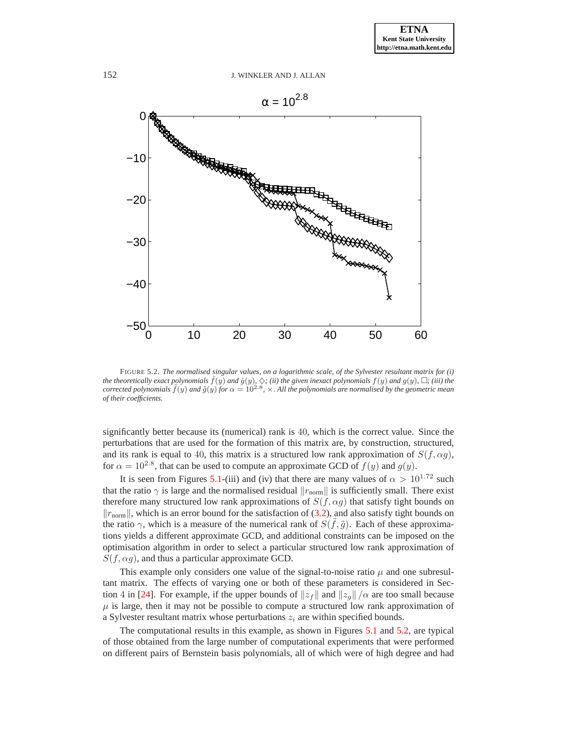

<span id="page-11-0"></span>FIGURE 5.2. *The normalised singular values, on a logarithmic scale, of the Sylvester resultant matrix for (i)* the theoretically exact polynomials  $\hat{f}(y)$  and  $\hat{g}(y)$ ,  $\diamondsuit$ ; (ii) the given inexact polynomials  $f(y)$  and  $g(y)$ ,  $\Box$ ; (iii) the *corrected polynomials*  $\tilde{f}(y)$  *and*  $\tilde{g}(y)$  *for*  $\alpha = 10^{2.8}$ ,  $\times$ . All the polynomials are normalised by the geometric mean *of their coefficients.*

significantly better because its (numerical) rank is 40, which is the correct value. Since the perturbations that are used for the formation of this matrix are, by construction, structured, and its rank is equal to 40, this matrix is a structured low rank approximation of  $S(f, \alpha g)$ , for  $\alpha = 10^{2.8}$ , that can be used to compute an approximate GCD of  $f(y)$  and  $g(y)$ .

It is seen from Figures [5.1-](#page-10-0)(iii) and (iv) that there are many values of  $\alpha > 10^{1.72}$  such that the ratio  $\gamma$  is large and the normalised residual  $\|r_{\text{norm}}\|$  is sufficiently small. There exist therefore many structured low rank approximations of  $S(f, \alpha g)$  that satisfy tight bounds on  $\|r_{\text{norm}}\|$ , which is an error bound for the satisfaction of [\(3.2\)](#page-6-1), and also satisfy tight bounds on the ratio  $\gamma$ , which is a measure of the numerical rank of  $S(\tilde{f}, \tilde{g})$ . Each of these approximations yields a different approximate GCD, and additional constraints can be imposed on the optimisation algorithm in order to select a particular structured low rank approximation of  $S(f, \alpha g)$ , and thus a particular approximate GCD.

This example only considers one value of the signal-to-noise ratio  $\mu$  and one subresultant matrix. The effects of varying one or both of these parameters is considered in Sec-tion 4 in [\[24\]](#page-14-5). For example, if the upper bounds of  $||z_f||$  and  $||z_g|| / \alpha$  are too small because  $\mu$  is large, then it may not be possible to compute a structured low rank approximation of a Sylvester resultant matrix whose perturbations  $z_i$  are within specified bounds.

The computational results in this example, as shown in Figures [5.1](#page-10-0) and [5.2,](#page-11-0) are typical of those obtained from the large number of computational experiments that were performed on different pairs of Bernstein basis polynomials, all of which were of high degree and had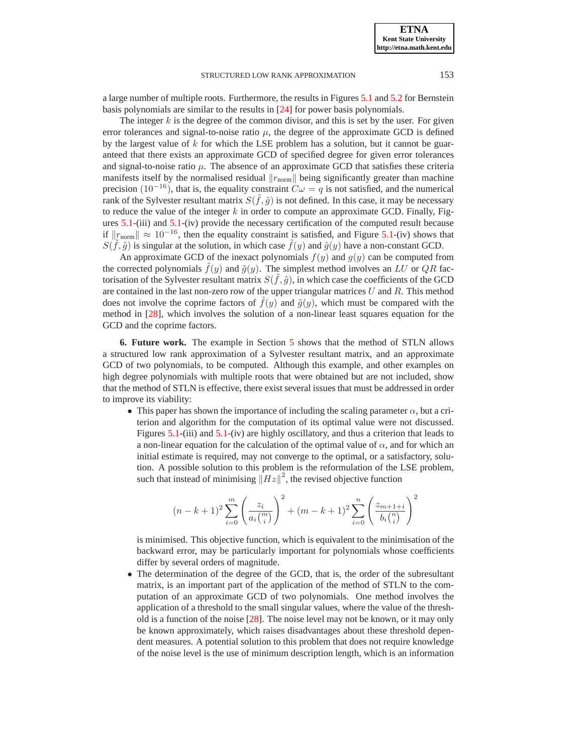a large number of multiple roots. Furthermore, the results in Figures [5.1](#page-10-0) and [5.2](#page-11-0) for Bernstein basis polynomials are similar to the results in [\[24\]](#page-14-5) for power basis polynomials.

The integer  $k$  is the degree of the common divisor, and this is set by the user. For given error tolerances and signal-to-noise ratio  $\mu$ , the degree of the approximate GCD is defined by the largest value of  $k$  for which the LSE problem has a solution, but it cannot be guaranteed that there exists an approximate GCD of specified degree for given error tolerances and signal-to-noise ratio  $\mu$ . The absence of an approximate GCD that satisfies these criteria manifests itself by the normalised residual  $\Vert r_{\text{norm}} \Vert$  being significantly greater than machine precision (10<sup>-16</sup>), that is, the equality constraint  $C\omega = q$  is not satisfied, and the numerical rank of the Sylvester resultant matrix  $S(\tilde{f}, \tilde{g})$  is not defined. In this case, it may be necessary to reduce the value of the integer  $k$  in order to compute an approximate GCD. Finally, Figures [5.1-](#page-10-0)(iii) and [5.1-](#page-10-0)(iv) provide the necessary certification of the computed result because if  $||r_{\text{norm}}|| \approx 10^{-16}$ , then the equality constraint is satisfied, and Figure [5.1-](#page-10-0)(iv) shows that  $S(\tilde{f}, \tilde{g})$  is singular at the solution, in which case  $\tilde{f}(y)$  and  $\tilde{g}(y)$  have a non-constant GCD.

An approximate GCD of the inexact polynomials  $f(y)$  and  $g(y)$  can be computed from the corrected polynomials  $f(y)$  and  $\tilde{g}(y)$ . The simplest method involves an LU or QR factorisation of the Sylvester resultant matrix  $S(\tilde{f}, \tilde{g})$ , in which case the coefficients of the GCD are contained in the last non-zero row of the upper triangular matrices  $U$  and  $R$ . This method does not involve the coprime factors of  $f(y)$  and  $\tilde{g}(y)$ , which must be compared with the method in [\[28\]](#page-14-6), which involves the solution of a non-linear least squares equation for the GCD and the coprime factors.

<span id="page-12-0"></span>**6. Future work.** The example in Section [5](#page-9-0) shows that the method of STLN allows a structured low rank approximation of a Sylvester resultant matrix, and an approximate GCD of two polynomials, to be computed. Although this example, and other examples on high degree polynomials with multiple roots that were obtained but are not included, show that the method of STLN is effective, there exist several issues that must be addressed in order to improve its viability:

• This paper has shown the importance of including the scaling parameter  $\alpha$ , but a criterion and algorithm for the computation of its optimal value were not discussed. Figures [5.1-](#page-10-0)(iii) and [5.1-](#page-10-0)(iv) are highly oscillatory, and thus a criterion that leads to a non-linear equation for the calculation of the optimal value of  $\alpha$ , and for which an initial estimate is required, may not converge to the optimal, or a satisfactory, solution. A possible solution to this problem is the reformulation of the LSE problem, such that instead of minimising  $\left\|Hz\right\|^2$ , the revised objective function

$$
(n-k+1)^2 \sum_{i=0}^m \left(\frac{z_i}{a_i {m \choose i}}\right)^2 + (m-k+1)^2 \sum_{i=0}^n \left(\frac{z_{m+1+i}}{b_i {n \choose i}}\right)^2
$$

is minimised. This objective function, which is equivalent to the minimisation of the backward error, may be particularly important for polynomials whose coefficients differ by several orders of magnitude.

• The determination of the degree of the GCD, that is, the order of the subresultant matrix, is an important part of the application of the method of STLN to the computation of an approximate GCD of two polynomials. One method involves the application of a threshold to the small singular values, where the value of the threshold is a function of the noise [\[28\]](#page-14-6). The noise level may not be known, or it may only be known approximately, which raises disadvantages about these threshold dependent measures. A potential solution to this problem that does not require knowledge of the noise level is the use of minimum description length, which is an information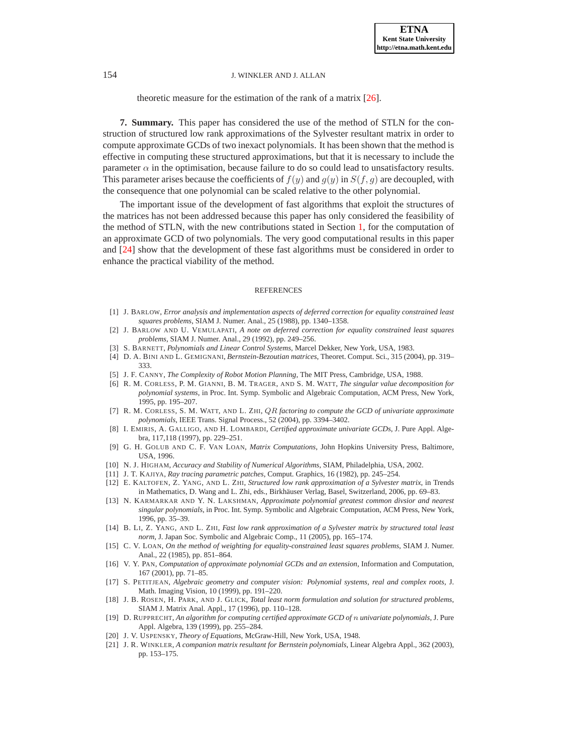theoretic measure for the estimation of the rank of a matrix [\[26\]](#page-14-7).

<span id="page-13-19"></span>**7. Summary.** This paper has considered the use of the method of STLN for the construction of structured low rank approximations of the Sylvester resultant matrix in order to compute approximate GCDs of two inexact polynomials. It has been shown that the method is effective in computing these structured approximations, but that it is necessary to include the parameter  $\alpha$  in the optimisation, because failure to do so could lead to unsatisfactory results. This parameter arises because the coefficients of  $f(y)$  and  $g(y)$  in  $S(f, g)$  are decoupled, with the consequence that one polynomial can be scaled relative to the other polynomial.

The important issue of the development of fast algorithms that exploit the structures of the matrices has not been addressed because this paper has only considered the feasibility of the method of STLN, with the new contributions stated in Section [1,](#page-0-0) for the computation of an approximate GCD of two polynomials. The very good computational results in this paper and [\[24\]](#page-14-5) show that the development of these fast algorithms must be considered in order to enhance the practical viability of the method.

#### REFERENCES

- <span id="page-13-18"></span><span id="page-13-17"></span>[1] J. BARLOW, *Error analysis and implementation aspects of deferred correction for equality constrained least squares problems*, SIAM J. Numer. Anal., 25 (1988), pp. 1340–1358.
- [2] J. BARLOW AND U. VEMULAPATI, *A note on deferred correction for equality constrained least squares problems*, SIAM J. Numer. Anal., 29 (1992), pp. 249–256.
- <span id="page-13-5"></span><span id="page-13-3"></span>[3] S. BARNETT, *Polynomials and Linear Control Systems*, Marcel Dekker, New York, USA, 1983.
- [4] D. A. BINI AND L. GEMIGNANI, *Bernstein-Bezoutian matrices*, Theoret. Comput. Sci., 315 (2004), pp. 319– 333.
- <span id="page-13-6"></span><span id="page-13-0"></span>[5] J. F. CANNY, *The Complexity of Robot Motion Planning*, The MIT Press, Cambridge, USA, 1988.
- [6] R. M. CORLESS, P. M. GIANNI, B. M. TRAGER, AND S. M. WATT, *The singular value decomposition for polynomial systems*, in Proc. Int. Symp. Symbolic and Algebraic Computation, ACM Press, New York, 1995, pp. 195–207.
- <span id="page-13-9"></span>[7] R. M. CORLESS, S. M. WATT, AND L. ZHI, QR *factoring to compute the GCD of univariate approximate polynomials*, IEEE Trans. Signal Process., 52 (2004), pp. 3394–3402.
- <span id="page-13-7"></span>[8] I. EMIRIS, A. GALLIGO, AND H. LOMBARDI, *Certified approximate univariate GCDs*, J. Pure Appl. Algebra, 117,118 (1997), pp. 229–251.
- <span id="page-13-20"></span>[9] G. H. GOLUB AND C. F. VAN LOAN, *Matrix Computations*, John Hopkins University Press, Baltimore, USA, 1996.
- <span id="page-13-21"></span><span id="page-13-1"></span>[10] N. J. HIGHAM, *Accuracy and Stability of Numerical Algorithms*, SIAM, Philadelphia, USA, 2002.
- <span id="page-13-13"></span>[11] J. T. KAJIYA, *Ray tracing parametric patches*, Comput. Graphics, 16 (1982), pp. 245–254.
- [12] E. KALTOFEN, Z. YANG, AND L. ZHI, *Structured low rank approximation of a Sylvester matrix*, in Trends in Mathematics, D. Wang and L. Zhi, eds., Birkhäuser Verlag, Basel, Switzerland, 2006, pp. 69–83.
- <span id="page-13-11"></span>[13] N. KARMARKAR AND Y. N. LAKSHMAN, *Approximate polynomial greatest common divsior and nearest singular polynomials*, in Proc. Int. Symp. Symbolic and Algebraic Computation, ACM Press, New York, 1996, pp. 35–39.
- <span id="page-13-14"></span>[14] B. LI, Z. YANG, AND L. ZHI, *Fast low rank approximation of a Sylvester matrix by structured total least norm*, J. Japan Soc. Symbolic and Algebraic Comp., 11 (2005), pp. 165–174.
- <span id="page-13-16"></span>[15] C. V. LOAN, *On the method of weighting for equality-constrained least squares problems*, SIAM J. Numer. Anal., 22 (1985), pp. 851–864.
- <span id="page-13-10"></span>[16] V. Y. PAN, *Computation of approximate polynomial GCDs and an extension*, Information and Computation, 167 (2001), pp. 71–85.
- <span id="page-13-2"></span>[17] S. PETITJEAN, *Algebraic geometry and computer vision: Polynomial systems, real and complex roots*, J. Math. Imaging Vision, 10 (1999), pp. 191–220.
- <span id="page-13-12"></span>[18] J. B. ROSEN, H. PARK, AND J. GLICK, *Total least norm formulation and solution for structured problems*, SIAM J. Matrix Anal. Appl., 17 (1996), pp. 110–128.
- <span id="page-13-8"></span>[19] D. RUPPRECHT, *An algorithm for computing certified approximate GCD of* n *univariate polynomials*, J. Pure Appl. Algebra, 139 (1999), pp. 255–284.
- <span id="page-13-15"></span><span id="page-13-4"></span>[20] J. V. USPENSKY, *Theory of Equations*, McGraw-Hill, New York, USA, 1948.
- [21] J. R. WINKLER, *A companion matrix resultant for Bernstein polynomials*, Linear Algebra Appl., 362 (2003), pp. 153–175.